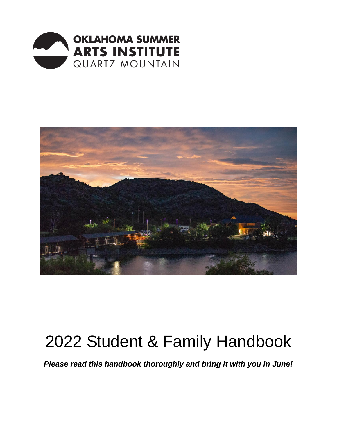



# 2022 Student & Family Handbook

*Please read this handbook thoroughly and bring it with you in June!*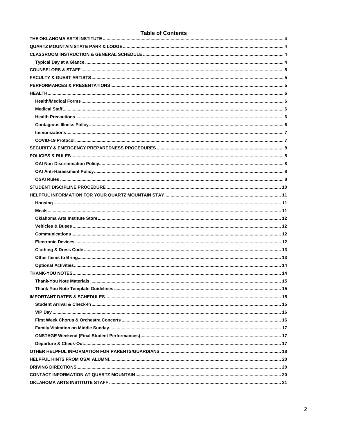#### **Table of Contents**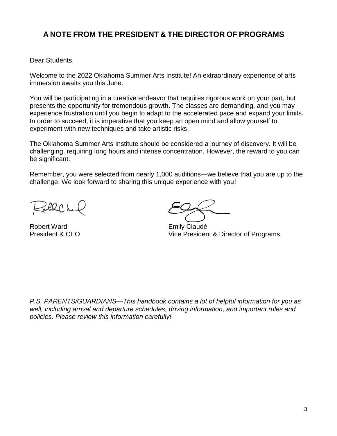# **A NOTE FROM THE PRESIDENT & THE DIRECTOR OF PROGRAMS**

Dear Students,

Welcome to the 2022 Oklahoma Summer Arts Institute! An extraordinary experience of arts immersion awaits you this June.

You will be participating in a creative endeavor that requires rigorous work on your part, but presents the opportunity for tremendous growth. The classes are demanding, and you may experience frustration until you begin to adapt to the accelerated pace and expand your limits. In order to succeed, it is imperative that you keep an open mind and allow yourself to experiment with new techniques and take artistic risks.

The Oklahoma Summer Arts Institute should be considered a journey of discovery. It will be challenging, requiring long hours and intense concentration. However, the reward to you can be significant.

Remember, you were selected from nearly 1,000 auditions—we believe that you are up to the challenge. We look forward to sharing this unique experience with you!

20 L

Robert Ward **Emily Claudé** 

President & CEO Vice President & Director of Programs

*P.S. PARENTS/GUARDIANS—This handbook contains a lot of helpful information for you as well, including arrival and departure schedules, driving information, and important rules and policies. Please review this information carefully!*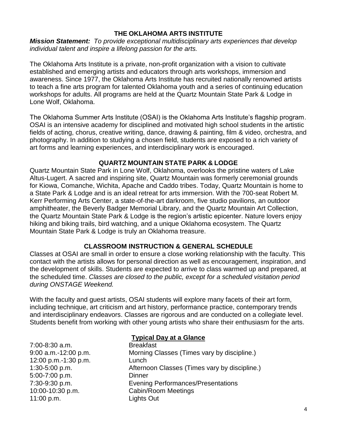## **THE OKLAHOMA ARTS INSTITUTE**

<span id="page-3-0"></span>*Mission Statement: To provide exceptional multidisciplinary arts experiences that develop individual talent and inspire a lifelong passion for the arts.* 

The Oklahoma Arts Institute is a private, non-profit organization with a vision to cultivate established and emerging artists and educators through arts workshops, immersion and awareness. Since 1977, the Oklahoma Arts Institute has recruited nationally renowned artists to teach a fine arts program for talented Oklahoma youth and a series of continuing education workshops for adults. All programs are held at the Quartz Mountain State Park & Lodge in Lone Wolf, Oklahoma.

The Oklahoma Summer Arts Institute (OSAI) is the Oklahoma Arts Institute's flagship program. OSAI is an intensive academy for disciplined and motivated high school students in the artistic fields of acting, chorus, creative writing, dance, drawing & painting, film & video, orchestra, and photography. In addition to studying a chosen field, students are exposed to a rich variety of art forms and learning experiences, and interdisciplinary work is encouraged.

## **QUARTZ MOUNTAIN STATE PARK & LODGE**

<span id="page-3-1"></span>Quartz Mountain State Park in Lone Wolf, Oklahoma, overlooks the pristine waters of Lake Altus-Lugert. A sacred and inspiring site, Quartz Mountain was formerly ceremonial grounds for Kiowa, Comanche, Wichita, Apache and Caddo tribes. Today, Quartz Mountain is home to a State Park & Lodge and is an ideal retreat for arts immersion. With the 700-seat Robert M. Kerr Performing Arts Center, a state-of-the-art darkroom, five studio pavilions, an outdoor amphitheater, the Beverly Badger Memorial Library, and the Quartz Mountain Art Collection, the Quartz Mountain State Park & Lodge is the region's artistic epicenter. Nature lovers enjoy hiking and biking trails, bird watching, and a unique Oklahoma ecosystem. The Quartz Mountain State Park & Lodge is truly an Oklahoma treasure.

# **CLASSROOM INSTRUCTION & GENERAL SCHEDULE**

<span id="page-3-2"></span>Classes at OSAI are small in order to ensure a close working relationship with the faculty. This contact with the artists allows for personal direction as well as encouragement, inspiration, and the development of skills. Students are expected to arrive to class warmed up and prepared, at the scheduled time. *Classes are closed to the public, except for a scheduled visitation period during ONSTAGE Weekend.*

With the faculty and guest artists, OSAI students will explore many facets of their art form, including technique, art criticism and art history, performance practice, contemporary trends and interdisciplinary endeavors. Classes are rigorous and are conducted on a collegiate level. Students benefit from working with other young artists who share their enthusiasm for the arts.

<span id="page-3-3"></span>7:00-8:30 a.m. Breakfast 12:00 p.m.-1:30 p.m. Lunch 5:00-7:00 p.m. Dinner 11:00 p.m. Lights Out

# **Typical Day at a Glance**

9:00 a.m.-12:00 p.m. Morning Classes (Times vary by discipline.) 1:30-5:00 p.m. Afternoon Classes (Times vary by discipline.) 7:30-9:30 p.m. Evening Performances/Presentations 10:00-10:30 p.m. Cabin/Room Meetings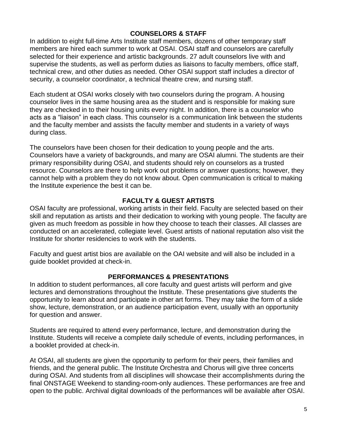## **COUNSELORS & STAFF**

<span id="page-4-0"></span>In addition to eight full-time Arts Institute staff members, dozens of other temporary staff members are hired each summer to work at OSAI. OSAI staff and counselors are carefully selected for their experience and artistic backgrounds. 27 adult counselors live with and supervise the students, as well as perform duties as liaisons to faculty members, office staff, technical crew, and other duties as needed. Other OSAI support staff includes a director of security, a counselor coordinator, a technical theatre crew, and nursing staff.

Each student at OSAI works closely with two counselors during the program. A housing counselor lives in the same housing area as the student and is responsible for making sure they are checked in to their housing units every night. In addition, there is a counselor who acts as a "liaison" in each class. This counselor is a communication link between the students and the faculty member and assists the faculty member and students in a variety of ways during class.

The counselors have been chosen for their dedication to young people and the arts. Counselors have a variety of backgrounds, and many are OSAI alumni. The students are their primary responsibility during OSAI, and students should rely on counselors as a trusted resource. Counselors are there to help work out problems or answer questions; however, they cannot help with a problem they do not know about. Open communication is critical to making the Institute experience the best it can be.

## **FACULTY & GUEST ARTISTS**

<span id="page-4-1"></span>OSAI faculty are professional, working artists in their field. Faculty are selected based on their skill and reputation as artists and their dedication to working with young people. The faculty are given as much freedom as possible in how they choose to teach their classes. All classes are conducted on an accelerated, collegiate level. Guest artists of national reputation also visit the Institute for shorter residencies to work with the students.

Faculty and guest artist bios are available on the OAI website and will also be included in a guide booklet provided at check-in.

## **PERFORMANCES & PRESENTATIONS**

<span id="page-4-2"></span>In addition to student performances, all core faculty and guest artists will perform and give lectures and demonstrations throughout the Institute. These presentations give students the opportunity to learn about and participate in other art forms. They may take the form of a slide show, lecture, demonstration, or an audience participation event, usually with an opportunity for question and answer.

Students are required to attend every performance, lecture, and demonstration during the Institute. Students will receive a complete daily schedule of events, including performances, in a booklet provided at check-in.

At OSAI, all students are given the opportunity to perform for their peers, their families and friends, and the general public. The Institute Orchestra and Chorus will give three concerts during OSAI. And students from all disciplines will showcase their accomplishments during the final ONSTAGE Weekend to standing-room-only audiences. These performances are free and open to the public. Archival digital downloads of the performances will be available after OSAI.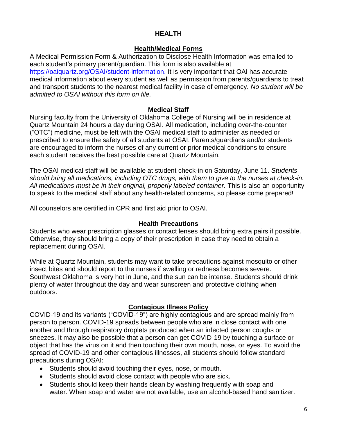# **HEALTH**

# **Health/Medical Forms**

<span id="page-5-1"></span><span id="page-5-0"></span>A Medical Permission Form & Authorization to Disclose Health Information was emailed to each student's primary parent/guardian. This form is also available at [https://oaiquartz.org/OSAI/student-information.](https://oaiquartz.org/OSAI/student-information) It is very important that OAI has accurate medical information about every student as well as permission from parents/guardians to treat and transport students to the nearest medical facility in case of emergency. *No student will be admitted to OSAI without this form on file.*

# **Medical Staff**

<span id="page-5-2"></span>Nursing faculty from the University of Oklahoma College of Nursing will be in residence at Quartz Mountain 24 hours a day during OSAI. All medication, including over-the-counter ("OTC") medicine, must be left with the OSAI medical staff to administer as needed or prescribed to ensure the safety of all students at OSAI. Parents/guardians and/or students are encouraged to inform the nurses of any current or prior medical conditions to ensure each student receives the best possible care at Quartz Mountain.

The OSAI medical staff will be available at student check-in on Saturday, June 11. *Students should bring all medications, including OTC drugs, with them to give to the nurses at check-in. All medications must be in their original, properly labeled container.* This is also an opportunity to speak to the medical staff about any health-related concerns, so please come prepared!

All counselors are certified in CPR and first aid prior to OSAI.

# **Health Precautions**

<span id="page-5-3"></span>Students who wear prescription glasses or contact lenses should bring extra pairs if possible. Otherwise, they should bring a copy of their prescription in case they need to obtain a replacement during OSAI.

While at Quartz Mountain, students may want to take precautions against mosquito or other insect bites and should report to the nurses if swelling or redness becomes severe. Southwest Oklahoma is very hot in June, and the sun can be intense. Students should drink plenty of water throughout the day and wear sunscreen and protective clothing when outdoors.

# **Contagious Illness Policy**

<span id="page-5-4"></span>COVID-19 and its variants ("COVID-19") are highly contagious and are spread mainly from person to person. COVID-19 spreads between people who are in close contact with one another and through respiratory droplets produced when an infected person coughs or sneezes. It may also be possible that a person can get COVID-19 by touching a surface or object that has the virus on it and then touching their own mouth, nose, or eyes. To avoid the spread of COVID-19 and other contagious illnesses, all students should follow standard precautions during OSAI:

- Students should avoid touching their eyes, nose, or mouth.
- Students should avoid close contact with people who are sick.
- Students should keep their hands clean by washing frequently with soap and water. When soap and water are not available, use an alcohol-based hand sanitizer.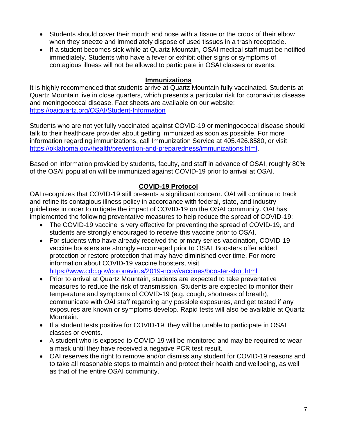- Students should cover their mouth and nose with a tissue or the crook of their elbow when they sneeze and immediately dispose of used tissues in a trash receptacle.
- If a student becomes sick while at Quartz Mountain, OSAI medical staff must be notified immediately. Students who have a fever or exhibit other signs or symptoms of contagious illness will not be allowed to participate in OSAI classes or events.

## **Immunizations**

<span id="page-6-0"></span>It is highly recommended that students arrive at Quartz Mountain fully vaccinated. Students at Quartz Mountain live in close quarters, which presents a particular risk for coronavirus disease and meningococcal disease. Fact sheets are available on our website: <https://oaiquartz.org/OSAI/Student-Information>

Students who are not yet fully vaccinated against COVID-19 or meningococcal disease should talk to their healthcare provider about getting immunized as soon as possible. For more information regarding immunizations, call Immunization Service at 405.426.8580, or visit [https://oklahoma.gov/health/prevention-and-preparedness/immunizations.html.](https://oklahoma.gov/health/prevention-and-preparedness/immunizations.html)

Based on information provided by students, faculty, and staff in advance of OSAI, roughly 80% of the OSAI population will be immunized against COVID-19 prior to arrival at OSAI.

# **COVID-19 Protocol**

<span id="page-6-1"></span>OAI recognizes that COVID-19 still presents a significant concern. OAI will continue to track and refine its contagious illness policy in accordance with federal, state, and industry guidelines in order to mitigate the impact of COVID-19 on the OSAI community. OAI has implemented the following preventative measures to help reduce the spread of COVID-19:

- The COVID-19 vaccine is very effective for preventing the spread of COVID-19, and students are strongly encouraged to receive this vaccine prior to OSAI.
- For students who have already received the primary series vaccination, COVID-19 vaccine boosters are strongly encouraged prior to OSAI. Boosters offer added protection or restore protection that may have diminished over time. For more information about COVID-19 vaccine boosters, visit <https://www.cdc.gov/coronavirus/2019-ncov/vaccines/booster-shot.html>
- Prior to arrival at Quartz Mountain, students are expected to take preventative measures to reduce the risk of transmission. Students are expected to monitor their temperature and symptoms of COVID-19 (e.g. cough, shortness of breath), communicate with OAI staff regarding any possible exposures, and get tested if any exposures are known or symptoms develop. Rapid tests will also be available at Quartz Mountain.
- If a student tests positive for COVID-19, they will be unable to participate in OSAI classes or events.
- A student who is exposed to COVID-19 will be monitored and may be required to wear a mask until they have received a negative PCR test result.
- OAI reserves the right to remove and/or dismiss any student for COVID-19 reasons and to take all reasonable steps to maintain and protect their health and wellbeing, as well as that of the entire OSAI community.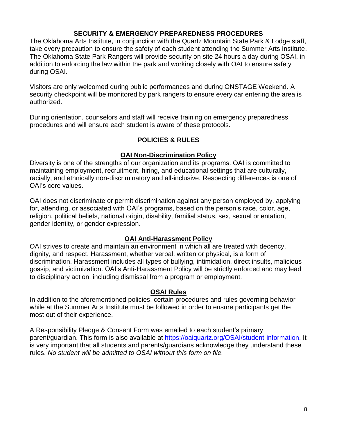## **SECURITY & EMERGENCY PREPAREDNESS PROCEDURES**

<span id="page-7-0"></span>The Oklahoma Arts Institute, in conjunction with the Quartz Mountain State Park & Lodge staff, take every precaution to ensure the safety of each student attending the Summer Arts Institute. The Oklahoma State Park Rangers will provide security on site 24 hours a day during OSAI, in addition to enforcing the law within the park and working closely with OAI to ensure safety during OSAI.

Visitors are only welcomed during public performances and during ONSTAGE Weekend. A security checkpoint will be monitored by park rangers to ensure every car entering the area is authorized.

<span id="page-7-1"></span>During orientation, counselors and staff will receive training on emergency preparedness procedures and will ensure each student is aware of these protocols.

## **POLICIES & RULES**

## **OAI Non-Discrimination Policy**

<span id="page-7-2"></span>Diversity is one of the strengths of our organization and its programs. OAI is committed to maintaining employment, recruitment, hiring, and educational settings that are culturally, racially, and ethnically non-discriminatory and all-inclusive. Respecting differences is one of OAI's core values.

OAI does not discriminate or permit discrimination against any person employed by, applying for, attending, or associated with OAI's programs, based on the person's race, color, age, religion, political beliefs, national origin, disability, familial status, sex, sexual orientation, gender identity, or gender expression.

# **OAI Anti-Harassment Policy**

<span id="page-7-3"></span>OAI strives to create and maintain an environment in which all are treated with decency, dignity, and respect. Harassment, whether verbal, written or physical, is a form of discrimination. Harassment includes all types of bullying, intimidation, direct insults, malicious gossip, and victimization. OAI's Anti-Harassment Policy will be strictly enforced and may lead to disciplinary action, including dismissal from a program or employment.

## **OSAI Rules**

<span id="page-7-4"></span>In addition to the aforementioned policies, certain procedures and rules governing behavior while at the Summer Arts Institute must be followed in order to ensure participants get the most out of their experience.

A Responsibility Pledge & Consent Form was emailed to each student's primary parent/guardian. This form is also available at [https://oaiquartz.org/OSAI/student-information.](https://oaiquartz.org/OSAI/student-information) It is very important that all students and parents/guardians acknowledge they understand these rules. *No student will be admitted to OSAI without this form on file.*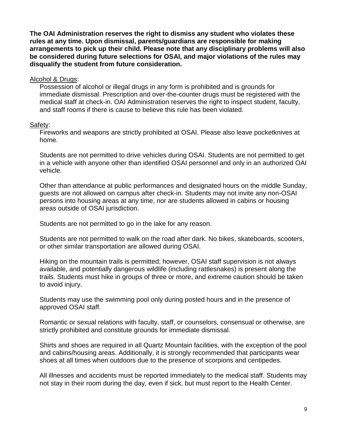**The OAI Administration reserves the right to dismiss any student who violates these rules at any time. Upon dismissal, parents/guardians are responsible for making arrangements to pick up their child. Please note that any disciplinary problems will also be considered during future selections for OSAI, and major violations of the rules may disqualify the student from future consideration.**

Alcohol & Drugs:

Possession of alcohol or illegal drugs in any form is prohibited and is grounds for immediate dismissal. Prescription and over-the-counter drugs must be registered with the medical staff at check-in. OAI Administration reserves the right to inspect student, faculty, and staff rooms if there is cause to believe this rule has been violated.

## Safety:

Fireworks and weapons are strictly prohibited at OSAI. Please also leave pocketknives at home.

Students are not permitted to drive vehicles during OSAI. Students are not permitted to get in a vehicle with anyone other than identified OSAI personnel and only in an authorized OAI vehicle.

Other than attendance at public performances and designated hours on the middle Sunday, guests are not allowed on campus after check-in. Students may not invite any non-OSAI persons into housing areas at any time, nor are students allowed in cabins or housing areas outside of OSAI jurisdiction.

Students are not permitted to go in the lake for any reason.

Students are not permitted to walk on the road after dark. No bikes, skateboards, scooters, or other similar transportation are allowed during OSAI.

Hiking on the mountain trails is permitted; however, OSAI staff supervision is not always available, and potentially dangerous wildlife (including rattlesnakes) is present along the trails. Students must hike in groups of three or more, and extreme caution should be taken to avoid injury.

Students may use the swimming pool only during posted hours and in the presence of approved OSAI staff.

Romantic or sexual relations with faculty, staff, or counselors, consensual or otherwise, are strictly prohibited and constitute grounds for immediate dismissal.

Shirts and shoes are required in all Quartz Mountain facilities, with the exception of the pool and cabins/housing areas. Additionally, it is strongly recommended that participants wear shoes at all times when outdoors due to the presence of scorpions and centipedes.

All illnesses and accidents must be reported immediately to the medical staff. Students may not stay in their room during the day, even if sick, but must report to the Health Center.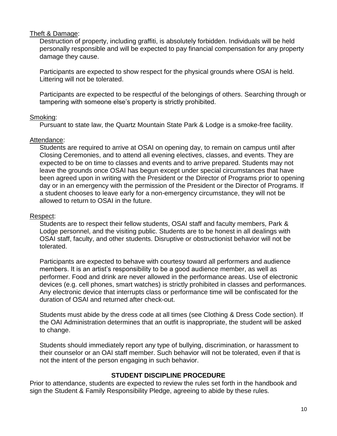## Theft & Damage:

Destruction of property, including graffiti, is absolutely forbidden. Individuals will be held personally responsible and will be expected to pay financial compensation for any property damage they cause.

Participants are expected to show respect for the physical grounds where OSAI is held. Littering will not be tolerated.

Participants are expected to be respectful of the belongings of others. Searching through or tampering with someone else's property is strictly prohibited.

## Smoking:

Pursuant to state law, the Quartz Mountain State Park & Lodge is a smoke-free facility.

## Attendance:

Students are required to arrive at OSAI on opening day, to remain on campus until after Closing Ceremonies, and to attend all evening electives, classes, and events. They are expected to be on time to classes and events and to arrive prepared. Students may not leave the grounds once OSAI has begun except under special circumstances that have been agreed upon in writing with the President or the Director of Programs prior to opening day or in an emergency with the permission of the President or the Director of Programs. If a student chooses to leave early for a non-emergency circumstance, they will not be allowed to return to OSAI in the future.

## Respect:

Students are to respect their fellow students, OSAI staff and faculty members, Park & Lodge personnel, and the visiting public. Students are to be honest in all dealings with OSAI staff, faculty, and other students. Disruptive or obstructionist behavior will not be tolerated.

Participants are expected to behave with courtesy toward all performers and audience members. It is an artist's responsibility to be a good audience member, as well as performer. Food and drink are never allowed in the performance areas. Use of electronic devices (e.g. cell phones, smart watches) is strictly prohibited in classes and performances. Any electronic device that interrupts class or performance time will be confiscated for the duration of OSAI and returned after check-out.

Students must abide by the dress code at all times (see Clothing & Dress Code section). If the OAI Administration determines that an outfit is inappropriate, the student will be asked to change.

Students should immediately report any type of bullying, discrimination, or harassment to their counselor or an OAI staff member. Such behavior will not be tolerated, even if that is not the intent of the person engaging in such behavior.

# **STUDENT DISCIPLINE PROCEDURE**

<span id="page-9-0"></span>Prior to attendance, students are expected to review the rules set forth in the handbook and sign the Student & Family Responsibility Pledge, agreeing to abide by these rules.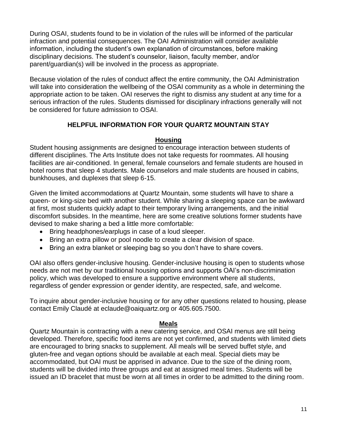During OSAI, students found to be in violation of the rules will be informed of the particular infraction and potential consequences. The OAI Administration will consider available information, including the student's own explanation of circumstances, before making disciplinary decisions. The student's counselor, liaison, faculty member, and/or parent/guardian(s) will be involved in the process as appropriate.

Because violation of the rules of conduct affect the entire community, the OAI Administration will take into consideration the wellbeing of the OSAI community as a whole in determining the appropriate action to be taken. OAI reserves the right to dismiss any student at any time for a serious infraction of the rules. Students dismissed for disciplinary infractions generally will not be considered for future admission to OSAI.

# **HELPFUL INFORMATION FOR YOUR QUARTZ MOUNTAIN STAY**

## **Housing**

<span id="page-10-1"></span><span id="page-10-0"></span>Student housing assignments are designed to encourage interaction between students of different disciplines. The Arts Institute does not take requests for roommates. All housing facilities are air-conditioned. In general, female counselors and female students are housed in hotel rooms that sleep 4 students. Male counselors and male students are housed in cabins, bunkhouses, and duplexes that sleep 6-15.

Given the limited accommodations at Quartz Mountain, some students will have to share a queen- or king-size bed with another student. While sharing a sleeping space can be awkward at first, most students quickly adapt to their temporary living arrangements, and the initial discomfort subsides. In the meantime, here are some creative solutions former students have devised to make sharing a bed a little more comfortable:

- Bring headphones/earplugs in case of a loud sleeper.
- Bring an extra pillow or pool noodle to create a clear division of space.
- Bring an extra blanket or sleeping bag so you don't have to share covers.

OAI also offers gender-inclusive housing. Gender-inclusive housing is open to students whose needs are not met by our traditional housing options and supports OAI's non-discrimination policy, which was developed to ensure a supportive environment where all students, regardless of gender expression or gender identity, are respected, safe, and welcome.

To inquire about gender-inclusive housing or for any other questions related to housing, please contact Emily Claudé at eclaude@oaiquartz.org or 405.605.7500.

## **Meals**

<span id="page-10-2"></span>Quartz Mountain is contracting with a new catering service, and OSAI menus are still being developed. Therefore, specific food items are not yet confirmed, and students with limited diets are encouraged to bring snacks to supplement. All meals will be served buffet style, and gluten-free and vegan options should be available at each meal. Special diets may be accommodated, but OAI must be apprised in advance. Due to the size of the dining room, students will be divided into three groups and eat at assigned meal times. Students will be issued an ID bracelet that must be worn at all times in order to be admitted to the dining room.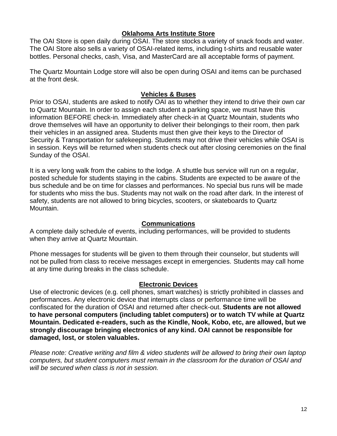## **Oklahoma Arts Institute Store**

<span id="page-11-0"></span>The OAI Store is open daily during OSAI. The store stocks a variety of snack foods and water. The OAI Store also sells a variety of OSAI-related items, including t-shirts and reusable water bottles. Personal checks, cash, Visa, and MasterCard are all acceptable forms of payment.

The Quartz Mountain Lodge store will also be open during OSAI and items can be purchased at the front desk.

## **Vehicles & Buses**

<span id="page-11-1"></span>Prior to OSAI, students are asked to notify OAI as to whether they intend to drive their own car to Quartz Mountain. In order to assign each student a parking space, we must have this information BEFORE check-in*.* Immediately after check-in at Quartz Mountain, students who drove themselves will have an opportunity to deliver their belongings to their room, then park their vehicles in an assigned area. Students must then give their keys to the Director of Security & Transportation for safekeeping. Students may not drive their vehicles while OSAI is in session. Keys will be returned when students check out after closing ceremonies on the final Sunday of the OSAI.

It is a very long walk from the cabins to the lodge. A shuttle bus service will run on a regular, posted schedule for students staying in the cabins. Students are expected to be aware of the bus schedule and be on time for classes and performances. No special bus runs will be made for students who miss the bus. Students may not walk on the road after dark. In the interest of safety, students are not allowed to bring bicycles, scooters, or skateboards to Quartz Mountain.

## **Communications**

<span id="page-11-2"></span>A complete daily schedule of events, including performances, will be provided to students when they arrive at Quartz Mountain.

Phone messages for students will be given to them through their counselor, but students will not be pulled from class to receive messages except in emergencies. Students may call home at any time during breaks in the class schedule.

# **Electronic Devices**

<span id="page-11-3"></span>Use of electronic devices (e.g. cell phones, smart watches) is strictly prohibited in classes and performances. Any electronic device that interrupts class or performance time will be confiscated for the duration of OSAI and returned after check-out. **Students are not allowed to have personal computers (including tablet computers) or to watch TV while at Quartz Mountain. Dedicated e-readers, such as the Kindle, Nook, Kobo, etc, are allowed, but we strongly discourage bringing electronics of any kind. OAI cannot be responsible for damaged, lost, or stolen valuables.** 

*Please note: Creative writing and film & video students will be allowed to bring their own laptop computers, but student computers must remain in the classroom for the duration of OSAI and will be secured when class is not in session.*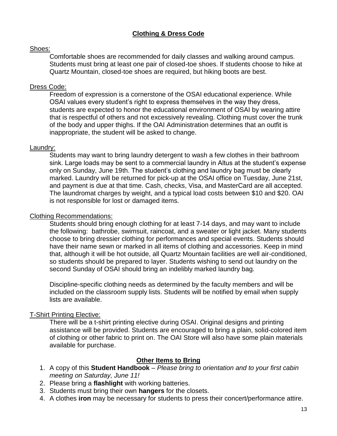# **Clothing & Dress Code**

#### <span id="page-12-0"></span>Shoes:

Comfortable shoes are recommended for daily classes and walking around campus. Students must bring at least one pair of closed-toe shoes. If students choose to hike at Quartz Mountain, closed-toe shoes are required, but hiking boots are best.

#### Dress Code:

Freedom of expression is a cornerstone of the OSAI educational experience. While OSAI values every student's right to express themselves in the way they dress, students are expected to honor the educational environment of OSAI by wearing attire that is respectful of others and not excessively revealing. Clothing must cover the trunk of the body and upper thighs. If the OAI Administration determines that an outfit is inappropriate, the student will be asked to change.

#### Laundry:

Students may want to bring laundry detergent to wash a few clothes in their bathroom sink. Large loads may be sent to a commercial laundry in Altus at the student's expense only on Sunday, June 19th. The student's clothing and laundry bag must be clearly marked. Laundry will be returned for pick-up at the OSAI office on Tuesday, June 21st, and payment is due at that time. Cash, checks, Visa, and MasterCard are all accepted. The laundromat charges by weight, and a typical load costs between \$10 and \$20. OAI is not responsible for lost or damaged items.

#### Clothing Recommendations:

Students should bring enough clothing for at least 7-14 days, and may want to include the following: bathrobe, swimsuit, raincoat, and a sweater or light jacket. Many students choose to bring dressier clothing for performances and special events. Students should have their name sewn or marked in all items of clothing and accessories. Keep in mind that, although it will be hot outside, all Quartz Mountain facilities are well air-conditioned, so students should be prepared to layer. Students wishing to send out laundry on the second Sunday of OSAI should bring an indelibly marked laundry bag.

Discipline-specific clothing needs as determined by the faculty members and will be included on the classroom supply lists. Students will be notified by email when supply lists are available.

## T-Shirt Printing Elective:

There will be a t-shirt printing elective during OSAI. Original designs and printing assistance will be provided. Students are encouraged to bring a plain, solid-colored item of clothing or other fabric to print on. The OAI Store will also have some plain materials available for purchase.

## **Other Items to Bring**

- <span id="page-12-1"></span>1. A copy of this **Student Handbook** – *Please bring to orientation and to your first cabin meeting on Saturday, June 11!*
- 2. Please bring a **flashlight** with working batteries.
- 3. Students must bring their own **hangers** for the closets.
- 4. A clothes **iron** may be necessary for students to press their concert/performance attire.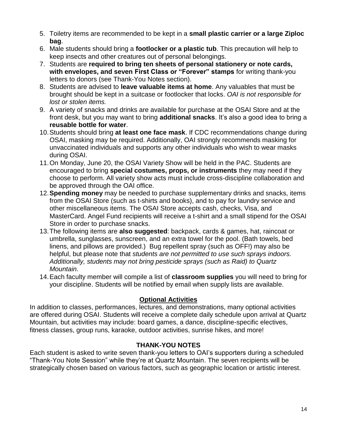- 5. Toiletry items are recommended to be kept in a **small plastic carrier or a large Ziploc bag**.
- 6. Male students should bring a **footlocker or a plastic tub**. This precaution will help to keep insects and other creatures out of personal belongings.
- 7. Students are **required to bring ten sheets of personal stationery or note cards, with envelopes, and seven First Class or "Forever" stamps** for writing thank-you letters to donors (see Thank-You Notes section).
- 8. Students are advised to **leave valuable items at home**. Any valuables that must be brought should be kept in a suitcase or footlocker that locks. *OAI is not responsible for lost or stolen items.*
- 9. A variety of snacks and drinks are available for purchase at the OSAI Store and at the front desk, but you may want to bring **additional snacks**. It's also a good idea to bring a **reusable bottle for water**.
- 10.Students should bring **at least one face mask**. If CDC recommendations change during OSAI, masking may be required. Additionally, OAI strongly recommends masking for unvaccinated individuals and supports any other individuals who wish to wear masks during OSAI.
- 11.On Monday, June 20, the OSAI Variety Show will be held in the PAC. Students are encouraged to bring **special costumes, props, or instruments** they may need if they choose to perform. All variety show acts must include cross-discipline collaboration and be approved through the OAI office.
- 12.**Spending money** may be needed to purchase supplementary drinks and snacks, items from the OSAI Store (such as t-shirts and books), and to pay for laundry service and other miscellaneous items. The OSAI Store accepts cash, checks, Visa, and MasterCard. Angel Fund recipients will receive a t-shirt and a small stipend for the OSAI Store in order to purchase snacks.
- 13.The following items are **also suggested**: backpack, cards & games, hat, raincoat or umbrella, sunglasses, sunscreen, and an extra towel for the pool. (Bath towels, bed linens, and pillows are provided.) Bug repellent spray (such as OFF!) may also be helpful, but please note that *students are not permitted to use such sprays indoors. Additionally, students may not bring pesticide sprays (such as Raid) to Quartz Mountain.*
- 14.Each faculty member will compile a list of **classroom supplies** you will need to bring for your discipline. Students will be notified by email when supply lists are available.

# **Optional Activities**

<span id="page-13-0"></span>In addition to classes, performances, lectures, and demonstrations, many optional activities are offered during OSAI. Students will receive a complete daily schedule upon arrival at Quartz Mountain, but activities may include: board games, a dance, discipline-specific electives, fitness classes, group runs, karaoke, outdoor activities, sunrise hikes, and more!

# **THANK-YOU NOTES**

<span id="page-13-1"></span>Each student is asked to write seven thank-you letters to OAI's supporters during a scheduled "Thank-You Note Session" while they're at Quartz Mountain. The seven recipients will be strategically chosen based on various factors, such as geographic location or artistic interest.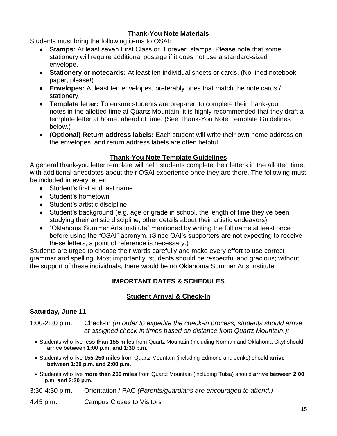# **Thank-You Note Materials**

<span id="page-14-0"></span>Students must bring the following items to OSAI:

- **Stamps:** At least seven First Class or "Forever" stamps. Please note that some stationery will require additional postage if it does not use a standard-sized envelope.
- **Stationery or notecards:** At least ten individual sheets or cards. (No lined notebook paper, please!)
- **Envelopes:** At least ten envelopes, preferably ones that match the note cards / stationery.
- **Template letter:** To ensure students are prepared to complete their thank-you notes in the allotted time at Quartz Mountain, it is highly recommended that they draft a template letter at home, ahead of time. (See Thank-You Note Template Guidelines below.)
- **(Optional) Return address labels:** Each student will write their own home address on the envelopes, and return address labels are often helpful.

# **Thank-You Note Template Guidelines**

<span id="page-14-1"></span>A general thank-you letter template will help students complete their letters in the allotted time, with additional anecdotes about their OSAI experience once they are there. The following must be included in every letter:

- Student's first and last name
- Student's hometown
- Student's artistic discipline
- Student's background (e.g. age or grade in school, the length of time they've been studying their artistic discipline, other details about their artistic endeavors)
- "Oklahoma Summer Arts Institute" mentioned by writing the full name at least once before using the "OSAI" acronym. (Since OAI's supporters are not expecting to receive these letters, a point of reference is necessary.)

<span id="page-14-2"></span>Students are urged to choose their words carefully and make every effort to use correct grammar and spelling. Most importantly, students should be respectful and gracious; without the support of these individuals, there would be no Oklahoma Summer Arts Institute!

# **IMPORTANT DATES & SCHEDULES**

# **Student Arrival & Check-In**

# <span id="page-14-3"></span>**Saturday, June 11**

1:00-2:30 p.m. Check-In *(In order to expedite the check-in process, students should arrive at assigned check-in times based on distance from Quartz Mountain.):*

- Students who live **less than 155 miles** from Quartz Mountain (including Norman and Oklahoma City) should **arrive between 1:00 p.m. and 1:30 p.m.**
- Students who live **155-250 miles** from Quartz Mountain (including Edmond and Jenks) should **arrive between 1:30 p.m. and 2:00 p.m.**
- Students who live **more than 250 miles** from Quartz Mountain (including Tulsa) should **arrive between 2:00 p.m. and 2:30 p.m.**

3:30-4:30 p.m. Orientation / PAC *(Parents/guardians are encouraged to attend.)*

4:45 p.m. Campus Closes to Visitors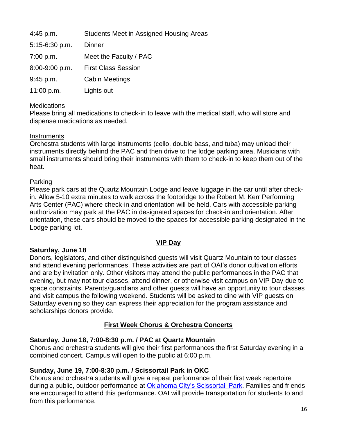| $4:45$ p.m.    | <b>Students Meet in Assigned Housing Areas</b> |
|----------------|------------------------------------------------|
| 5:15-6:30 p.m. | <b>Dinner</b>                                  |
| 7:00 p.m.      | Meet the Faculty / PAC                         |
| 8:00-9:00 p.m. | <b>First Class Session</b>                     |
| 9:45 p.m.      | <b>Cabin Meetings</b>                          |
| 11:00 p.m.     | Lights out                                     |

## **Medications**

Please bring all medications to check-in to leave with the medical staff, who will store and dispense medications as needed.

#### **Instruments**

Orchestra students with large instruments (cello, double bass, and tuba) may unload their instruments directly behind the PAC and then drive to the lodge parking area. Musicians with small instruments should bring their instruments with them to check-in to keep them out of the heat.

#### Parking

Please park cars at the Quartz Mountain Lodge and leave luggage in the car until after checkin*.* Allow 5-10 extra minutes to walk across the footbridge to the Robert M. Kerr Performing Arts Center (PAC) where check-in and orientation will be held. Cars with accessible parking authorization may park at the PAC in designated spaces for check-in and orientation. After orientation, these cars should be moved to the spaces for accessible parking designated in the Lodge parking lot.

## **VIP Day**

## <span id="page-15-0"></span>**Saturday, June 18**

Donors, legislators, and other distinguished guests will visit Quartz Mountain to tour classes and attend evening performances. These activities are part of OAI's donor cultivation efforts and are by invitation only. Other visitors may attend the public performances in the PAC that evening, but may not tour classes, attend dinner, or otherwise visit campus on VIP Day due to space constraints. Parents/guardians and other guests will have an opportunity to tour classes and visit campus the following weekend. Students will be asked to dine with VIP guests on Saturday evening so they can express their appreciation for the program assistance and scholarships donors provide.

## **First Week Chorus & Orchestra Concerts**

## <span id="page-15-1"></span>**Saturday, June 18, 7:00-8:30 p.m. / PAC at Quartz Mountain**

Chorus and orchestra students will give their first performances the first Saturday evening in a combined concert. Campus will open to the public at 6:00 p.m.

## **Sunday, June 19, 7:00-8:30 p.m. / Scissortail Park in OKC**

Chorus and orchestra students will give a repeat performance of their first week repertoire during a public, outdoor performance at [Oklahoma City's Scissortail Park.](https://scissortailpark.org/) Families and friends are encouraged to attend this performance. OAI will provide transportation for students to and from this performance.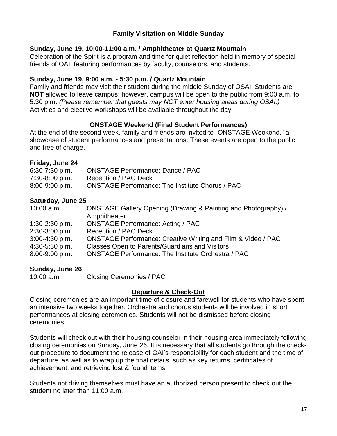# **Family Visitation on Middle Sunday**

## <span id="page-16-0"></span>**Sunday, June 19, 10:00-11:00 a.m. / Amphitheater at Quartz Mountain**

Celebration of the Spirit is a program and time for quiet reflection held in memory of special friends of OAI, featuring performances by faculty, counselors, and students.

# **Sunday, June 19, 9:00 a.m. - 5:30 p.m. / Quartz Mountain**

Family and friends may visit their student during the middle Sunday of OSAI. Students are **NOT** allowed to leave campus; however, campus will be open to the public from 9:00 a.m. to 5:30 p.m. *(Please remember that guests may NOT enter housing areas during OSAI.)* Activities and elective workshops will be available throughout the day.

# **ONSTAGE Weekend (Final Student Performances)**

<span id="page-16-1"></span>At the end of the second week, family and friends are invited to "ONSTAGE Weekend," a showcase of student performances and presentations. These events are open to the public and free of charge.

## **Friday, June 24**

| $6:30-7:30$ p.m.   | <b>ONSTAGE Performance: Dance / PAC</b>                |
|--------------------|--------------------------------------------------------|
| 7:30-8:00 p.m.     | Reception / PAC Deck                                   |
| $8:00 - 9:00$ p.m. | <b>ONSTAGE Performance: The Institute Chorus / PAC</b> |

# **Saturday, June 25**

| 10:00 a.m.         | ONSTAGE Gallery Opening (Drawing & Painting and Photography) /          |
|--------------------|-------------------------------------------------------------------------|
|                    | Amphitheater                                                            |
| $1:30-2:30$ p.m.   | <b>ONSTAGE Performance: Acting / PAC</b>                                |
| 2:30-3:00 p.m.     | <b>Reception / PAC Deck</b>                                             |
| $3:00 - 4:30$ p.m. | <b>ONSTAGE Performance: Creative Writing and Film &amp; Video / PAC</b> |
| 4:30-5:30 p.m.     | Classes Open to Parents/Guardians and Visitors                          |
| $8:00 - 9:00$ p.m. | <b>ONSTAGE Performance: The Institute Orchestra / PAC</b>               |
|                    |                                                                         |

# **Sunday, June 26**

| 10:00 a.m. | <b>Closing Ceremonies / PAC</b> |  |
|------------|---------------------------------|--|
|            |                                 |  |

# **Departure & Check-Out**

<span id="page-16-2"></span>Closing ceremonies are an important time of closure and farewell for students who have spent an intensive two weeks together. Orchestra and chorus students will be involved in short performances at closing ceremonies. Students will not be dismissed before closing ceremonies.

Students will check out with their housing counselor in their housing area immediately following closing ceremonies on Sunday, June 26. It is necessary that all students go through the checkout procedure to document the release of OAI's responsibility for each student and the time of departure, as well as to wrap up the final details, such as key returns, certificates of achievement, and retrieving lost & found items.

Students not driving themselves must have an authorized person present to check out the student no later than 11:00 a.m.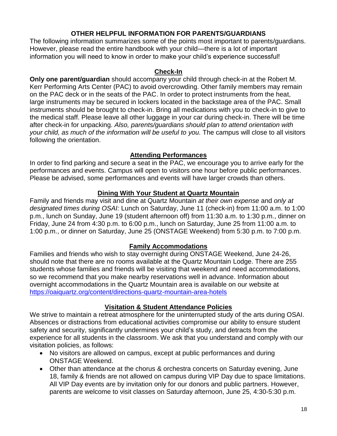## **OTHER HELPFUL INFORMATION FOR PARENTS/GUARDIANS**

<span id="page-17-0"></span>The following information summarizes some of the points most important to parents/guardians. However, please read the entire handbook with your child—there is a lot of important information you will need to know in order to make your child's experience successful!

#### **Check-In**

**Only one parent/guardian** should accompany your child through check-in at the Robert M. Kerr Performing Arts Center (PAC) to avoid overcrowding. Other family members may remain on the PAC deck or in the seats of the PAC. In order to protect instruments from the heat, large instruments may be secured in lockers located in the backstage area of the PAC. Small instruments should be brought to check-in. Bring all medications with you to check-in to give to the medical staff. Please leave all other luggage in your car during check-in. There will be time after check-in for unpacking. *Also, parents/guardians should plan to attend orientation with your child, as much of the information will be useful to you.* The campus will close to all visitors following the orientation.

# **Attending Performances**

In order to find parking and secure a seat in the PAC, we encourage you to arrive early for the performances and events. Campus will open to visitors one hour before public performances. Please be advised, some performances and events will have larger crowds than others.

# **Dining With Your Student at Quartz Mountain**

Family and friends may visit and dine at Quartz Mountain *at their own expense* and *only at designated times during OSAI:* Lunch on Saturday, June 11 (check-in) from 11:00 a.m. to 1:00 p.m., lunch on Sunday, June 19 (student afternoon off) from 11:30 a.m. to 1:30 p.m., dinner on Friday, June 24 from 4:30 p.m. to 6:00 p.m., lunch on Saturday, June 25 from 11:00 a.m. to 1:00 p.m., or dinner on Saturday, June 25 (ONSTAGE Weekend) from 5:30 p.m. to 7:00 p.m.

# **Family Accommodations**

Families and friends who wish to stay overnight during ONSTAGE Weekend, June 24-26, should note that there are no rooms available at the Quartz Mountain Lodge. There are 255 students whose families and friends will be visiting that weekend and need accommodations, so we recommend that you make nearby reservations well in advance. Information about overnight accommodations in the Quartz Mountain area is available on our website at <https://oaiquartz.org/content/directions-quartz-mountain-area-hotels>

# **Visitation & Student Attendance Policies**

We strive to maintain a retreat atmosphere for the uninterrupted study of the arts during OSAI. Absences or distractions from educational activities compromise our ability to ensure student safety and security, significantly undermines your child's study, and detracts from the experience for all students in the classroom. We ask that you understand and comply with our visitation policies, as follows:

- No visitors are allowed on campus, except at public performances and during ONSTAGE Weekend.
- Other than attendance at the chorus & orchestra concerts on Saturday evening, June 18, family & friends are not allowed on campus during VIP Day due to space limitations. All VIP Day events are by invitation only for our donors and public partners. However, parents are welcome to visit classes on Saturday afternoon, June 25, 4:30-5:30 p.m.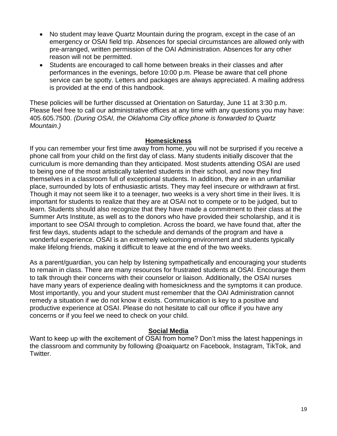- No student may leave Quartz Mountain during the program, except in the case of an emergency or OSAI field trip. Absences for special circumstances are allowed only with pre-arranged, written permission of the OAI Administration. Absences for any other reason will not be permitted.
- Students are encouraged to call home between breaks in their classes and after performances in the evenings, before 10:00 p.m. Please be aware that cell phone service can be spotty. Letters and packages are always appreciated. A mailing address is provided at the end of this handbook.

These policies will be further discussed at Orientation on Saturday, June 11 at 3:30 p.m. Please feel free to call our administrative offices at any time with any questions you may have: 405.605.7500. *(During OSAI, the Oklahoma City office phone is forwarded to Quartz Mountain.)*

#### **Homesickness**

If you can remember your first time away from home, you will not be surprised if you receive a phone call from your child on the first day of class. Many students initially discover that the curriculum is more demanding than they anticipated. Most students attending OSAI are used to being one of the most artistically talented students in their school, and now they find themselves in a classroom full of exceptional students. In addition, they are in an unfamiliar place, surrounded by lots of enthusiastic artists. They may feel insecure or withdrawn at first. Though it may not seem like it to a teenager, two weeks is a very short time in their lives. It is important for students to realize that they are at OSAI not to compete or to be judged, but to learn. Students should also recognize that they have made a commitment to their class at the Summer Arts Institute, as well as to the donors who have provided their scholarship, and it is important to see OSAI through to completion. Across the board, we have found that, after the first few days, students adapt to the schedule and demands of the program and have a wonderful experience. OSAI is an extremely welcoming environment and students typically make lifelong friends, making it difficult to leave at the end of the two weeks.

As a parent/guardian, you can help by listening sympathetically and encouraging your students to remain in class. There are many resources for frustrated students at OSAI. Encourage them to talk through their concerns with their counselor or liaison. Additionally, the OSAI nurses have many years of experience dealing with homesickness and the symptoms it can produce. Most importantly, you and your student must remember that the OAI Administration cannot remedy a situation if we do not know it exists. Communication is key to a positive and productive experience at OSAI. Please do not hesitate to call our office if you have any concerns or if you feel we need to check on your child.

## **Social Media**

Want to keep up with the excitement of OSAI from home? Don't miss the latest happenings in the classroom and community by following @oaiquartz on Facebook, Instagram, TikTok, and Twitter.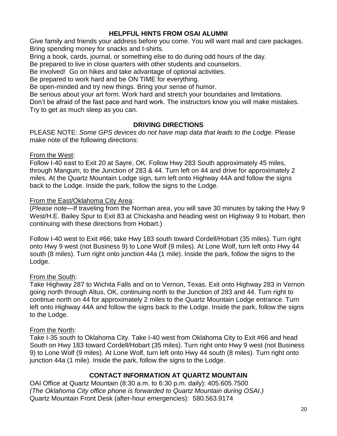# **HELPFUL HINTS FROM OSAI ALUMNI**

<span id="page-19-0"></span>Give family and friends your address before you come. You will want mail and care packages. Bring spending money for snacks and t-shirts.

Bring a book, cards, journal, or something else to do during odd hours of the day.

Be prepared to live in close quarters with other students and counselors.

Be involved! Go on hikes and take advantage of optional activities.

Be prepared to work hard and be ON TIME for everything.

Be open-minded and try new things. Bring your sense of humor.

Be serious about your art form. Work hard and stretch your boundaries and limitations.

Don't be afraid of the fast pace and hard work. The instructors know you will make mistakes. Try to get as much sleep as you can.

# **DRIVING DIRECTIONS**

<span id="page-19-1"></span>PLEASE NOTE: *Some GPS devices do not have map data that leads to the Lodge.* Please make note of the following directions:

# From the West:

Follow I-40 east to Exit 20 at Sayre, OK. Follow Hwy 283 South approximately 45 miles, through Mangum, to the Junction of 283 & 44. Turn left on 44 and drive for approximately 2 miles. At the Quartz Mountain Lodge sign, turn left onto Highway 44A and follow the signs back to the Lodge. Inside the park, follow the signs to the Lodge.

# From the East/Oklahoma City Area:

(*Please note*—If traveling from the Norman area, you will save 30 minutes by taking the Hwy 9 West/H.E. Bailey Spur to Exit 83 at Chickasha and heading west on Highway 9 to Hobart, then continuing with these directions from Hobart.)

Follow I-40 west to Exit #66; take Hwy 183 south toward Cordell/Hobart (35 miles). Turn right onto Hwy 9 west (not Business 9) to Lone Wolf (9 miles). At Lone Wolf, turn left onto Hwy 44 south (8 miles). Turn right onto junction 44a (1 mile). Inside the park, follow the signs to the Lodge.

# From the South:

Take Highway 287 to Wichita Falls and on to Vernon, Texas. Exit onto Highway 283 in Vernon going north through Altus, OK, continuing north to the Junction of 283 and 44. Turn right to continue north on 44 for approximately 2 miles to the Quartz Mountain Lodge entrance. Turn left onto Highway 44A and follow the signs back to the Lodge. Inside the park, follow the signs to the Lodge.

# From the North:

Take I-35 south to Oklahoma City. Take I-40 west from Oklahoma City to Exit #66 and head South on Hwy 183 toward Cordell/Hobart (35 miles). Turn right onto Hwy 9 west (not Business 9) to Lone Wolf (9 miles). At Lone Wolf, turn left onto Hwy 44 south (8 miles). Turn right onto junction 44a (1 mile). Inside the park, follow the signs to the Lodge.

# **CONTACT INFORMATION AT QUARTZ MOUNTAIN**

<span id="page-19-2"></span>OAI Office at Quartz Mountain (8:30 a.m. to 6:30 p.m. daily): 405.605.7500 *(The Oklahoma City office phone is forwarded to Quartz Mountain during OSAI.)* Quartz Mountain Front Desk (after-hour emergencies): 580.563.9174